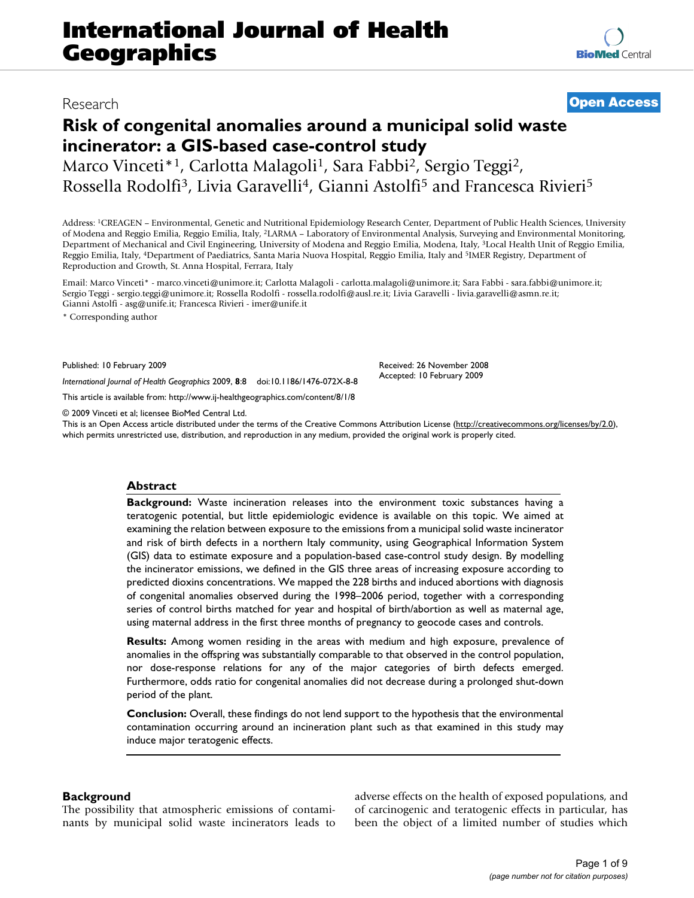# **Risk of congenital anomalies around a municipal solid waste incinerator: a GIS-based case-control study**

Marco Vinceti<sup>\*1</sup>, Carlotta Malagoli<sup>1</sup>, Sara Fabbi<sup>2</sup>, Sergio Teggi<sup>2</sup>, Rossella Rodolfi<sup>3</sup>, Livia Garavelli<sup>4</sup>, Gianni Astolfi<sup>5</sup> and Francesca Rivieri<sup>5</sup>

Address: 1CREAGEN – Environmental, Genetic and Nutritional Epidemiology Research Center, Department of Public Health Sciences, University of Modena and Reggio Emilia, Reggio Emilia, Italy, 2LARMA – Laboratory of Environmental Analysis, Surveying and Environmental Monitoring, Department of Mechanical and Civil Engineering, University of Modena and Reggio Emilia, Modena, Italy, 3Local Health Unit of Reggio Emilia, Reggio Emilia, Italy, 4Department of Paediatrics, Santa Maria Nuova Hospital, Reggio Emilia, Italy and 5IMER Registry, Department of Reproduction and Growth, St. Anna Hospital, Ferrara, Italy

Email: Marco Vinceti\* - marco.vinceti@unimore.it; Carlotta Malagoli - carlotta.malagoli@unimore.it; Sara Fabbi - sara.fabbi@unimore.it; Sergio Teggi - sergio.teggi@unimore.it; Rossella Rodolfi - rossella.rodolfi@ausl.re.it; Livia Garavelli - livia.garavelli@asmn.re.it; Gianni Astolfi - asg@unife.it; Francesca Rivieri - imer@unife.it

\* Corresponding author

Published: 10 February 2009

*International Journal of Health Geographics* 2009, **8**:8 doi:10.1186/1476-072X-8-8

[This article is available from: http://www.ij-healthgeographics.com/content/8/1/8](http://www.ij-healthgeographics.com/content/8/1/8)

© 2009 Vinceti et al; licensee BioMed Central Ltd.

This is an Open Access article distributed under the terms of the Creative Commons Attribution License [\(http://creativecommons.org/licenses/by/2.0\)](http://creativecommons.org/licenses/by/2.0), which permits unrestricted use, distribution, and reproduction in any medium, provided the original work is properly cited.

### **Abstract**

**Background:** Waste incineration releases into the environment toxic substances having a teratogenic potential, but little epidemiologic evidence is available on this topic. We aimed at examining the relation between exposure to the emissions from a municipal solid waste incinerator and risk of birth defects in a northern Italy community, using Geographical Information System (GIS) data to estimate exposure and a population-based case-control study design. By modelling the incinerator emissions, we defined in the GIS three areas of increasing exposure according to predicted dioxins concentrations. We mapped the 228 births and induced abortions with diagnosis of congenital anomalies observed during the 1998–2006 period, together with a corresponding series of control births matched for year and hospital of birth/abortion as well as maternal age, using maternal address in the first three months of pregnancy to geocode cases and controls.

**Results:** Among women residing in the areas with medium and high exposure, prevalence of anomalies in the offspring was substantially comparable to that observed in the control population, nor dose-response relations for any of the major categories of birth defects emerged. Furthermore, odds ratio for congenital anomalies did not decrease during a prolonged shut-down period of the plant.

**Conclusion:** Overall, these findings do not lend support to the hypothesis that the environmental contamination occurring around an incineration plant such as that examined in this study may induce major teratogenic effects.

#### **Background**

The possibility that atmospheric emissions of contaminants by municipal solid waste incinerators leads to adverse effects on the health of exposed populations, and of carcinogenic and teratogenic effects in particular, has been the object of a limited number of studies which

# Research **[Open Access](http://www.biomedcentral.com/info/about/charter/)**

Received: 26 November 2008 Accepted: 10 February 2009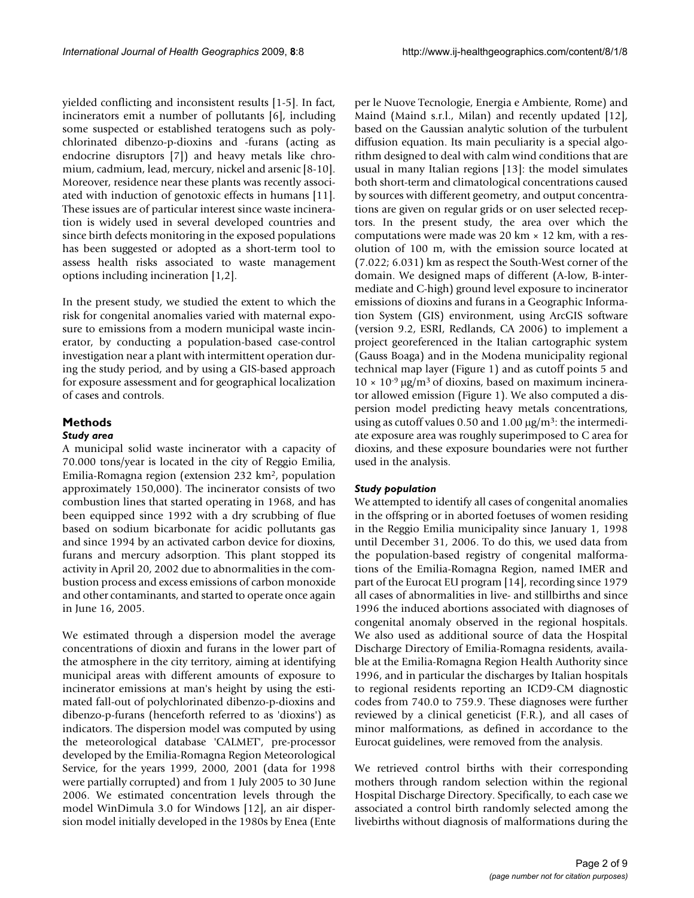yielded conflicting and inconsistent results [1-5]. In fact, incinerators emit a number of pollutants [6], including some suspected or established teratogens such as polychlorinated dibenzo-p-dioxins and -furans (acting as endocrine disruptors [7]) and heavy metals like chromium, cadmium, lead, mercury, nickel and arsenic [8-10]. Moreover, residence near these plants was recently associated with induction of genotoxic effects in humans [11]. These issues are of particular interest since waste incineration is widely used in several developed countries and since birth defects monitoring in the exposed populations has been suggested or adopted as a short-term tool to assess health risks associated to waste management options including incineration [1,2].

In the present study, we studied the extent to which the risk for congenital anomalies varied with maternal exposure to emissions from a modern municipal waste incinerator, by conducting a population-based case-control investigation near a plant with intermittent operation during the study period, and by using a GIS-based approach for exposure assessment and for geographical localization of cases and controls.

# **Methods**

## *Study area*

A municipal solid waste incinerator with a capacity of 70.000 tons/year is located in the city of Reggio Emilia, Emilia-Romagna region (extension 232 km2, population approximately 150,000). The incinerator consists of two combustion lines that started operating in 1968, and has been equipped since 1992 with a dry scrubbing of flue based on sodium bicarbonate for acidic pollutants gas and since 1994 by an activated carbon device for dioxins, furans and mercury adsorption. This plant stopped its activity in April 20, 2002 due to abnormalities in the combustion process and excess emissions of carbon monoxide and other contaminants, and started to operate once again in June 16, 2005.

We estimated through a dispersion model the average concentrations of dioxin and furans in the lower part of the atmosphere in the city territory, aiming at identifying municipal areas with different amounts of exposure to incinerator emissions at man's height by using the estimated fall-out of polychlorinated dibenzo-p-dioxins and dibenzo-p-furans (henceforth referred to as 'dioxins') as indicators. The dispersion model was computed by using the meteorological database 'CALMET', pre-processor developed by the Emilia-Romagna Region Meteorological Service, for the years 1999, 2000, 2001 (data for 1998 were partially corrupted) and from 1 July 2005 to 30 June 2006. We estimated concentration levels through the model WinDimula 3.0 for Windows [12], an air dispersion model initially developed in the 1980s by Enea (Ente per le Nuove Tecnologie, Energia e Ambiente, Rome) and Maind (Maind s.r.l., Milan) and recently updated [12], based on the Gaussian analytic solution of the turbulent diffusion equation. Its main peculiarity is a special algorithm designed to deal with calm wind conditions that are usual in many Italian regions [13]: the model simulates both short-term and climatological concentrations caused by sources with different geometry, and output concentrations are given on regular grids or on user selected receptors. In the present study, the area over which the computations were made was 20 km  $\times$  12 km, with a resolution of 100 m, with the emission source located at (7.022; 6.031) km as respect the South-West corner of the domain. We designed maps of different (A-low, B-intermediate and C-high) ground level exposure to incinerator emissions of dioxins and furans in a Geographic Information System (GIS) environment, using ArcGIS software (version 9.2, ESRI, Redlands, CA 2006) to implement a project georeferenced in the Italian cartographic system (Gauss Boaga) and in the Modena municipality regional technical map layer (Figure 1) and as cutoff points 5 and  $10 \times 10^{-9}$  μg/m<sup>3</sup> of dioxins, based on maximum incinerator allowed emission (Figure 1). We also computed a dispersion model predicting heavy metals concentrations, using as cutoff values 0.50 and 1.00 μg/m<sup>3</sup>: the intermediate exposure area was roughly superimposed to C area for dioxins, and these exposure boundaries were not further used in the analysis.

#### *Study population*

We attempted to identify all cases of congenital anomalies in the offspring or in aborted foetuses of women residing in the Reggio Emilia municipality since January 1, 1998 until December 31, 2006. To do this, we used data from the population-based registry of congenital malformations of the Emilia-Romagna Region, named IMER and part of the Eurocat EU program [14], recording since 1979 all cases of abnormalities in live- and stillbirths and since 1996 the induced abortions associated with diagnoses of congenital anomaly observed in the regional hospitals. We also used as additional source of data the Hospital Discharge Directory of Emilia-Romagna residents, available at the Emilia-Romagna Region Health Authority since 1996, and in particular the discharges by Italian hospitals to regional residents reporting an ICD9-CM diagnostic codes from 740.0 to 759.9. These diagnoses were further reviewed by a clinical geneticist (F.R.), and all cases of minor malformations, as defined in accordance to the Eurocat guidelines, were removed from the analysis.

We retrieved control births with their corresponding mothers through random selection within the regional Hospital Discharge Directory. Specifically, to each case we associated a control birth randomly selected among the livebirths without diagnosis of malformations during the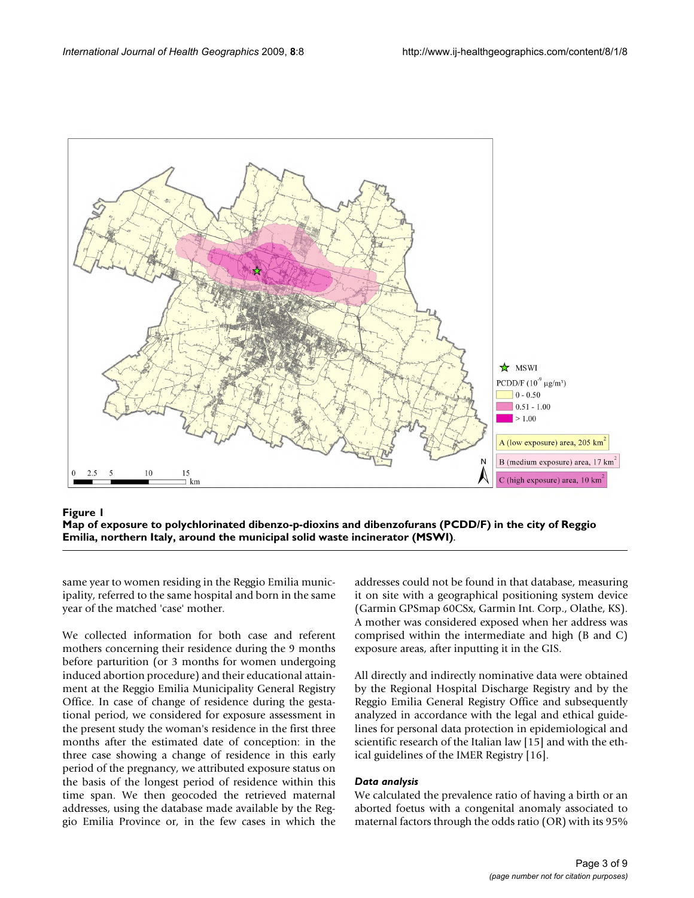

#### Map of exposure to polychlorina around the municipal solid waste incinerator (MSWI) **Figure 1** ted dibenzo-p-dioxins and dibenzofurans (PCDD/F) in the city of Reggio Emilia, northern Italy,

**Map of exposure to polychlorinated dibenzo-p-dioxins and dibenzofurans (PCDD/F) in the city of Reggio Emilia, northern Italy, around the municipal solid waste incinerator (MSWI)**.

same year to women residing in the Reggio Emilia municipality, referred to the same hospital and born in the same year of the matched 'case' mother.

We collected information for both case and referent mothers concerning their residence during the 9 months before parturition (or 3 months for women undergoing induced abortion procedure) and their educational attainment at the Reggio Emilia Municipality General Registry Office. In case of change of residence during the gestational period, we considered for exposure assessment in the present study the woman's residence in the first three months after the estimated date of conception: in the three case showing a change of residence in this early period of the pregnancy, we attributed exposure status on the basis of the longest period of residence within this time span. We then geocoded the retrieved maternal addresses, using the database made available by the Reggio Emilia Province or, in the few cases in which the addresses could not be found in that database, measuring it on site with a geographical positioning system device (Garmin GPSmap 60CSx, Garmin Int. Corp., Olathe, KS). A mother was considered exposed when her address was comprised within the intermediate and high (B and C) exposure areas, after inputting it in the GIS.

All directly and indirectly nominative data were obtained by the Regional Hospital Discharge Registry and by the Reggio Emilia General Registry Office and subsequently analyzed in accordance with the legal and ethical guidelines for personal data protection in epidemiological and scientific research of the Italian law [15] and with the ethical guidelines of the IMER Registry [16].

#### *Data analysis*

We calculated the prevalence ratio of having a birth or an aborted foetus with a congenital anomaly associated to maternal factors through the odds ratio (OR) with its 95%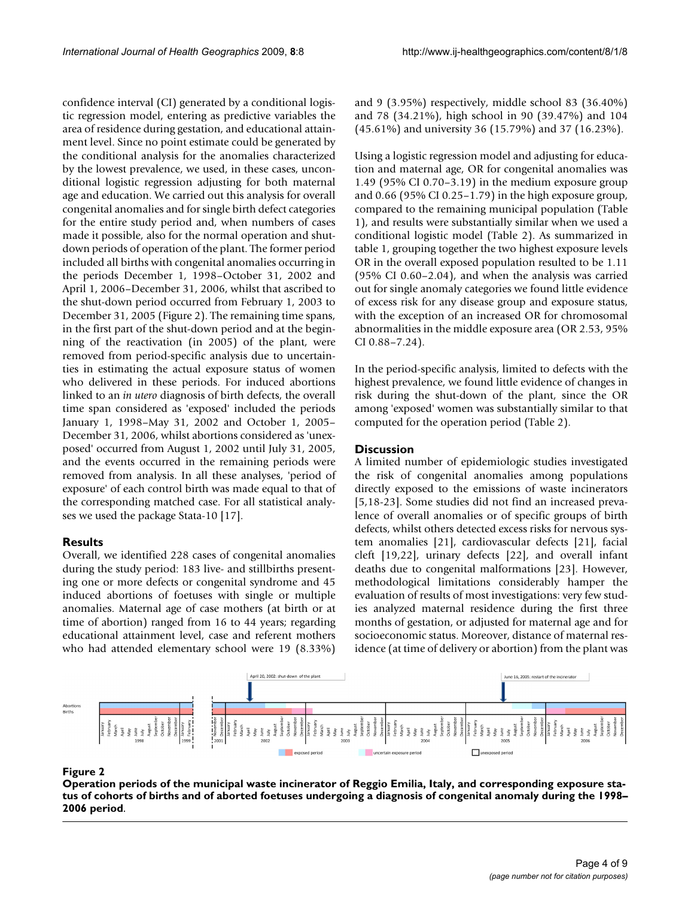confidence interval (CI) generated by a conditional logistic regression model, entering as predictive variables the area of residence during gestation, and educational attainment level. Since no point estimate could be generated by the conditional analysis for the anomalies characterized by the lowest prevalence, we used, in these cases, unconditional logistic regression adjusting for both maternal age and education. We carried out this analysis for overall congenital anomalies and for single birth defect categories for the entire study period and, when numbers of cases made it possible, also for the normal operation and shutdown periods of operation of the plant. The former period included all births with congenital anomalies occurring in the periods December 1, 1998–October 31, 2002 and April 1, 2006–December 31, 2006, whilst that ascribed to the shut-down period occurred from February 1, 2003 to December 31, 2005 (Figure 2). The remaining time spans, in the first part of the shut-down period and at the beginning of the reactivation (in 2005) of the plant, were removed from period-specific analysis due to uncertainties in estimating the actual exposure status of women who delivered in these periods. For induced abortions linked to an *in utero* diagnosis of birth defects, the overall time span considered as 'exposed' included the periods January 1, 1998–May 31, 2002 and October 1, 2005– December 31, 2006, whilst abortions considered as 'unexposed' occurred from August 1, 2002 until July 31, 2005, and the events occurred in the remaining periods were removed from analysis. In all these analyses, 'period of exposure' of each control birth was made equal to that of the corresponding matched case. For all statistical analyses we used the package Stata-10 [17].

#### **Results**

Overall, we identified 228 cases of congenital anomalies during the study period: 183 live- and stillbirths presenting one or more defects or congenital syndrome and 45 induced abortions of foetuses with single or multiple anomalies. Maternal age of case mothers (at birth or at time of abortion) ranged from 16 to 44 years; regarding educational attainment level, case and referent mothers who had attended elementary school were 19 (8.33%)

and 9 (3.95%) respectively, middle school 83 (36.40%) and 78 (34.21%), high school in 90 (39.47%) and 104 (45.61%) and university 36 (15.79%) and 37 (16.23%).

Using a logistic regression model and adjusting for education and maternal age, OR for congenital anomalies was 1.49 (95% CI 0.70–3.19) in the medium exposure group and 0.66 (95% CI 0.25–1.79) in the high exposure group, compared to the remaining municipal population (Table 1), and results were substantially similar when we used a conditional logistic model (Table 2). As summarized in table 1, grouping together the two highest exposure levels OR in the overall exposed population resulted to be 1.11 (95% CI 0.60–2.04), and when the analysis was carried out for single anomaly categories we found little evidence of excess risk for any disease group and exposure status, with the exception of an increased OR for chromosomal abnormalities in the middle exposure area (OR 2.53, 95% CI 0.88–7.24).

In the period-specific analysis, limited to defects with the highest prevalence, we found little evidence of changes in risk during the shut-down of the plant, since the OR among 'exposed' women was substantially similar to that computed for the operation period (Table 2).

### **Discussion**

A limited number of epidemiologic studies investigated the risk of congenital anomalies among populations directly exposed to the emissions of waste incinerators [5,18-23]. Some studies did not find an increased prevalence of overall anomalies or of specific groups of birth defects, whilst others detected excess risks for nervous system anomalies [21], cardiovascular defects [21], facial cleft [19,22], urinary defects [22], and overall infant deaths due to congenital malformations [23]. However, methodological limitations considerably hamper the evaluation of results of most investigations: very few studies analyzed maternal residence during the first three months of gestation, or adjusted for maternal age and for socioeconomic status. Moreover, distance of maternal residence (at time of delivery or abortion) from the plant was



#### Figure 2 and 2008 and 2008 and 2008 and 2008 and 2008 and 2008 and 2008 and 2008 and 2008 and 2008 and 2008 an

**Operation periods of the municipal waste incinerator of Reggio Emilia, Italy, and corresponding exposure status of cohorts of births and of aborted foetuses undergoing a diagnosis of congenital anomaly during the 1998– 2006 period**.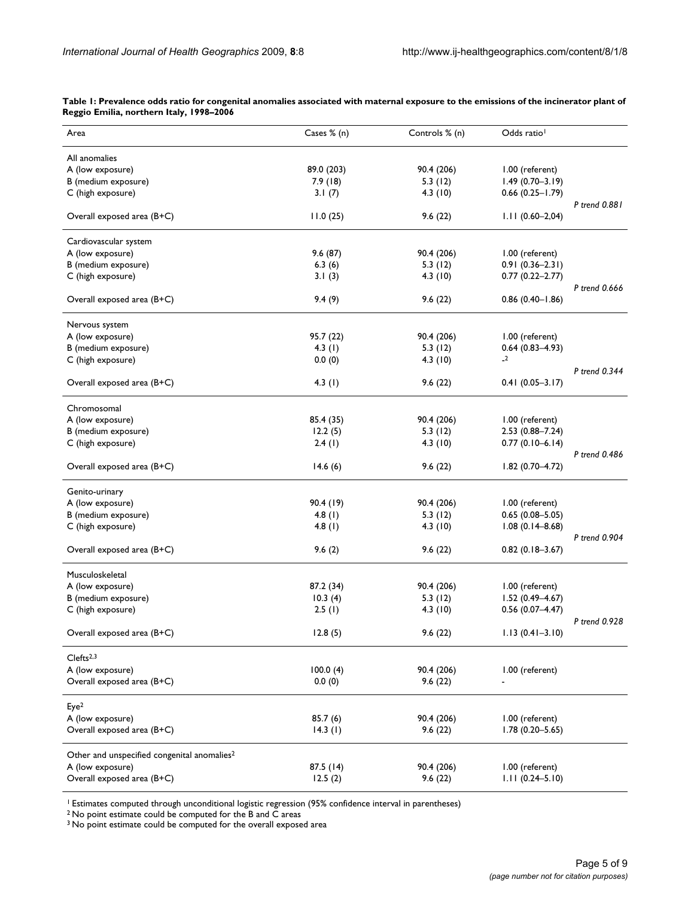| Area                                                    | Cases % (n) | Controls % (n) | Odds ratio <sup>1</sup> |               |
|---------------------------------------------------------|-------------|----------------|-------------------------|---------------|
| All anomalies                                           |             |                |                         |               |
| A (low exposure)                                        | 89.0 (203)  | 90.4 (206)     | 1.00 (referent)         |               |
| B (medium exposure)                                     | 7.9(18)     | 5.3(12)        | $1.49(0.70-3.19)$       |               |
| C (high exposure)                                       | 3.1(7)      | 4.3(10)        | $0.66$ (0.25-1.79)      |               |
|                                                         |             |                |                         | P trend 0.881 |
| Overall exposed area (B+C)                              | 11.0(25)    | 9.6(22)        | $1.11(0.60-2.04)$       |               |
| Cardiovascular system                                   |             |                |                         |               |
| A (low exposure)                                        | 9.6(87)     | 90.4 (206)     | 1.00 (referent)         |               |
| B (medium exposure)                                     | 6.3(6)      | 5.3(12)        | $0.91(0.36 - 2.31)$     |               |
| C (high exposure)                                       | 3.1(3)      | 4.3(10)        | $0.77(0.22 - 2.77)$     |               |
|                                                         |             |                |                         | P trend 0.666 |
| Overall exposed area (B+C)                              | 9.4(9)      | 9.6(22)        | $0.86$ (0.40-1.86)      |               |
| Nervous system                                          |             |                |                         |               |
| A (low exposure)                                        | 95.7 (22)   | 90.4 (206)     | 1.00 (referent)         |               |
| B (medium exposure)                                     | 4.3 $(1)$   | 5.3(12)        | $0.64(0.83 - 4.93)$     |               |
| C (high exposure)                                       | 0.0(0)      | 4.3(10)        | $-2$                    |               |
|                                                         |             |                |                         | P trend 0.344 |
| Overall exposed area (B+C)                              | 4.3 $(I)$   | 9.6(22)        | $0.41(0.05 - 3.17)$     |               |
| Chromosomal                                             |             |                |                         |               |
| A (low exposure)                                        | 85.4 (35)   | 90.4 (206)     | 1.00 (referent)         |               |
|                                                         |             |                |                         |               |
| B (medium exposure)                                     | 12.2(5)     | 5.3(12)        | $2.53(0.88 - 7.24)$     |               |
| C (high exposure)                                       | 2.4(1)      | 4.3(10)        | $0.77(0.10-6.14)$       |               |
|                                                         |             |                |                         | P trend 0.486 |
| Overall exposed area (B+C)                              | 14.6(6)     | 9.6(22)        | $1.82(0.70 - 4.72)$     |               |
| Genito-urinary                                          |             |                |                         |               |
| A (low exposure)                                        | 90.4 (19)   | 90.4 (206)     | 1.00 (referent)         |               |
| B (medium exposure)                                     | 4.8 $(1)$   | 5.3(12)        | $0.65(0.08 - 5.05)$     |               |
| C (high exposure)                                       | 4.8 $(1)$   | 4.3(10)        | $1.08(0.14 - 8.68)$     |               |
|                                                         |             |                |                         | P trend 0.904 |
| Overall exposed area (B+C)                              | 9.6(2)      | 9.6(22)        | $0.82(0.18 - 3.67)$     |               |
| Musculoskeletal                                         |             |                |                         |               |
| A (low exposure)                                        | 87.2 (34)   | 90.4 (206)     | 1.00 (referent)         |               |
| B (medium exposure)                                     | 10.3(4)     | 5.3(12)        | $1.52(0.49 - 4.67)$     |               |
| C (high exposure)                                       | 2.5(1)      | 4.3(10)        | $0.56(0.07 - 4.47)$     |               |
|                                                         |             |                |                         | P trend 0.928 |
| Overall exposed area (B+C)                              | 12.8(5)     | 9.6(22)        | $1.13(0.41 - 3.10)$     |               |
| Clefts <sup>2,3</sup>                                   |             |                |                         |               |
| A (low exposure)                                        | 100.0(4)    | 90.4 (206)     | 1.00 (referent)         |               |
| Overall exposed area (B+C)                              | 0.0(0)      | 9.6(22)        |                         |               |
|                                                         |             |                |                         |               |
| Eye <sup>2</sup>                                        |             |                |                         |               |
| A (low exposure)                                        | 85.7(6)     | 90.4 (206)     | 1.00 (referent)         |               |
| Overall exposed area (B+C)                              | 14.3(1)     | 9.6(22)        | $1.78(0.20 - 5.65)$     |               |
| Other and unspecified congenital anomalies <sup>2</sup> |             |                |                         |               |
| A (low exposure)                                        | 87.5(14)    | 90.4 (206)     | 1.00 (referent)         |               |
| Overall exposed area (B+C)                              | 12.5(2)     | 9.6(22)        | $1.11(0.24 - 5.10)$     |               |
|                                                         |             |                |                         |               |

**Table 1: Prevalence odds ratio for congenital anomalies associated with maternal exposure to the emissions of the incinerator plant of Reggio Emilia, northern Italy, 1998–2006**

1 Estimates computed through unconditional logistic regression (95% confidence interval in parentheses)

2 No point estimate could be computed for the B and C areas

<sup>3</sup> No point estimate could be computed for the overall exposed area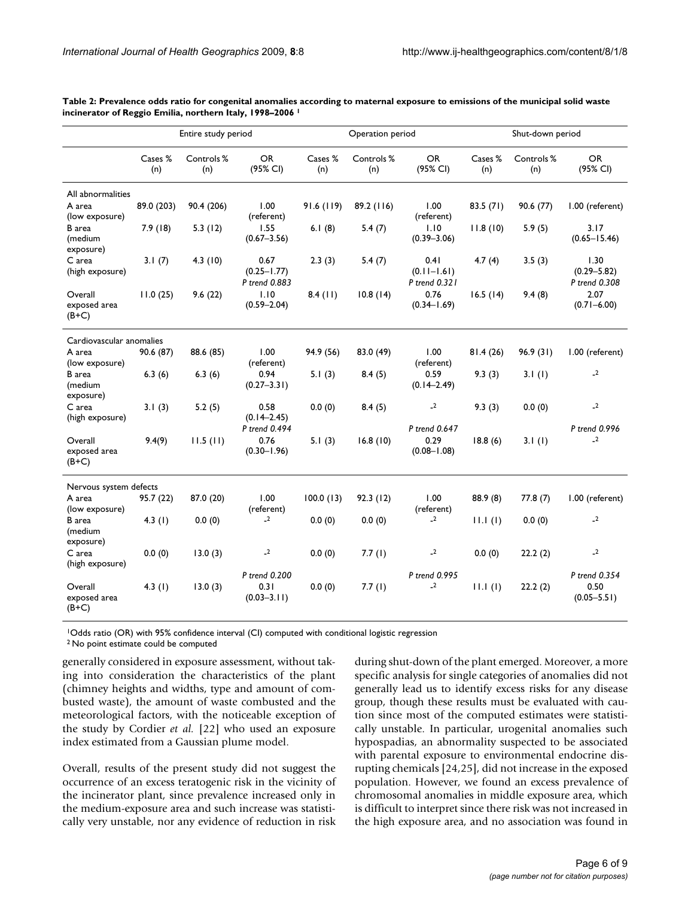|                                    | Entire study period |                   | Operation period                         |                |                   | Shut-down period                         |                |                   |                                          |
|------------------------------------|---------------------|-------------------|------------------------------------------|----------------|-------------------|------------------------------------------|----------------|-------------------|------------------------------------------|
|                                    | Cases %<br>(n)      | Controls %<br>(n) | <b>OR</b><br>(95% CI)                    | Cases %<br>(n) | Controls %<br>(n) | <b>OR</b><br>(95% CI)                    | Cases %<br>(n) | Controls %<br>(n) | OR.<br>(95% CI)                          |
| All abnormalities                  |                     |                   |                                          |                |                   |                                          |                |                   |                                          |
| A area<br>(low exposure)           | 89.0 (203)          | 90.4 (206)        | 1.00<br>(referent)                       | 91.6 (119)     | 89.2 (116)        | 1.00<br>(referent)                       | 83.5(71)       | 90.6 (77)         | 1.00 (referent)                          |
| B area<br>(medium<br>exposure)     | 7.9(18)             | 5.3(12)           | 1.55<br>$(0.67 - 3.56)$                  | 6.1(8)         | 5.4(7)            | 1.10<br>$(0.39 - 3.06)$                  | 11.8(10)       | 5.9(5)            | 3.17<br>$(0.65 - 15.46)$                 |
| C area<br>(high exposure)          | 3.1(7)              | 4.3(10)           | 0.67<br>$(0.25 - 1.77)$<br>P trend 0.883 | 2.3(3)         | 5.4(7)            | 0.41<br>$(0.11 - 1.61)$<br>P trend 0.321 | 4.7(4)         | 3.5(3)            | 1.30<br>$(0.29 - 5.82)$<br>P trend 0.308 |
| Overall<br>exposed area<br>$(B+C)$ | 11.0(25)            | 9.6(22)           | 1.10<br>$(0.59 - 2.04)$                  | $8.4$ (11)     | 10.8(14)          | 0.76<br>$(0.34 - 1.69)$                  | 16.5(14)       | 9.4(8)            | 2.07<br>$(0.71 - 6.00)$                  |
| Cardiovascular anomalies           |                     |                   |                                          |                |                   |                                          |                |                   |                                          |
| A area<br>(low exposure)           | 90.6 (87)           | 88.6 (85)         | 1.00<br>(referent)                       | 94.9 (56)      | 83.0 (49)         | 1.00<br>(referent)                       | 81.4 (26)      | 96.9(31)          | 1.00 (referent)                          |
| B area<br>(medium<br>exposure)     | 6.3(6)              | 6.3(6)            | 0.94<br>$(0.27 - 3.31)$                  | 5.1(3)         | 8.4(5)            | 0.59<br>$(0.14 - 2.49)$                  | 9.3(3)         | 3.1(1)            | $\overline{2}$                           |
| C area<br>(high exposure)          | 3.1(3)              | 5.2(5)            | 0.58<br>$(0.14 - 2.45)$                  | 0.0(0)         | 8.4(5)            | $-2$                                     | 9.3(3)         | 0.0(0)            | $-2$                                     |
| Overall<br>exposed area<br>$(B+C)$ | 9.4(9)              | 11.5(11)          | P trend 0.494<br>0.76<br>$(0.30 - 1.96)$ | 5.1(3)         | 16.8(10)          | P trend 0.647<br>0.29<br>$(0.08 - 1.08)$ | 18.8(6)        | 3.1(1)            | P trend 0.996<br>$\overline{2}$          |
| Nervous system defects             |                     |                   |                                          |                |                   |                                          |                |                   |                                          |
| A area<br>(low exposure)           | 95.7 (22)           | 87.0 (20)         | 1.00<br>(referent)                       | 100.0(13)      | 92.3(12)          | 1.00<br>(referent)                       | 88.9 (8)       | 77.8(7)           | 1.00 (referent)                          |
| B area<br>(medium<br>exposure)     | 4.3 $(1)$           | 0.0(0)            | $\overline{2}$                           | 0.0(0)         | 0.0(0)            | $\overline{2}$                           | 11.1(1)        | 0.0(0)            | $\overline{2}$                           |
| C area<br>(high exposure)          | 0.0(0)              | 13.0(3)           | $-2$                                     | 0.0(0)         | 7.7(1)            | $-2$                                     | 0.0(0)         | 22.2(2)           | $-2$                                     |
| Overall<br>exposed area<br>$(B+C)$ | 4.3 $(1)$           | 13.0(3)           | P trend 0.200<br>0.31<br>$(0.03 - 3.11)$ | 0.0(0)         | 7.7(l)            | P trend 0.995<br>$\overline{2}$          | 11.1(1)        | 22.2(2)           | P trend 0.354<br>0.50<br>$(0.05 - 5.51)$ |

**Table 2: Prevalence odds ratio for congenital anomalies according to maternal exposure to emissions of the municipal solid waste incinerator of Reggio Emilia, northern Italy, 1998–2006 1**

1Odds ratio (OR) with 95% confidence interval (CI) computed with conditional logistic regression

2 No point estimate could be computed

generally considered in exposure assessment, without taking into consideration the characteristics of the plant (chimney heights and widths, type and amount of combusted waste), the amount of waste combusted and the meteorological factors, with the noticeable exception of the study by Cordier *et al.* [22] who used an exposure index estimated from a Gaussian plume model.

Overall, results of the present study did not suggest the occurrence of an excess teratogenic risk in the vicinity of the incinerator plant, since prevalence increased only in the medium-exposure area and such increase was statistically very unstable, nor any evidence of reduction in risk during shut-down of the plant emerged. Moreover, a more specific analysis for single categories of anomalies did not generally lead us to identify excess risks for any disease group, though these results must be evaluated with caution since most of the computed estimates were statistically unstable. In particular, urogenital anomalies such hypospadias, an abnormality suspected to be associated with parental exposure to environmental endocrine disrupting chemicals [24,25], did not increase in the exposed population. However, we found an excess prevalence of chromosomal anomalies in middle exposure area, which is difficult to interpret since there risk was not increased in the high exposure area, and no association was found in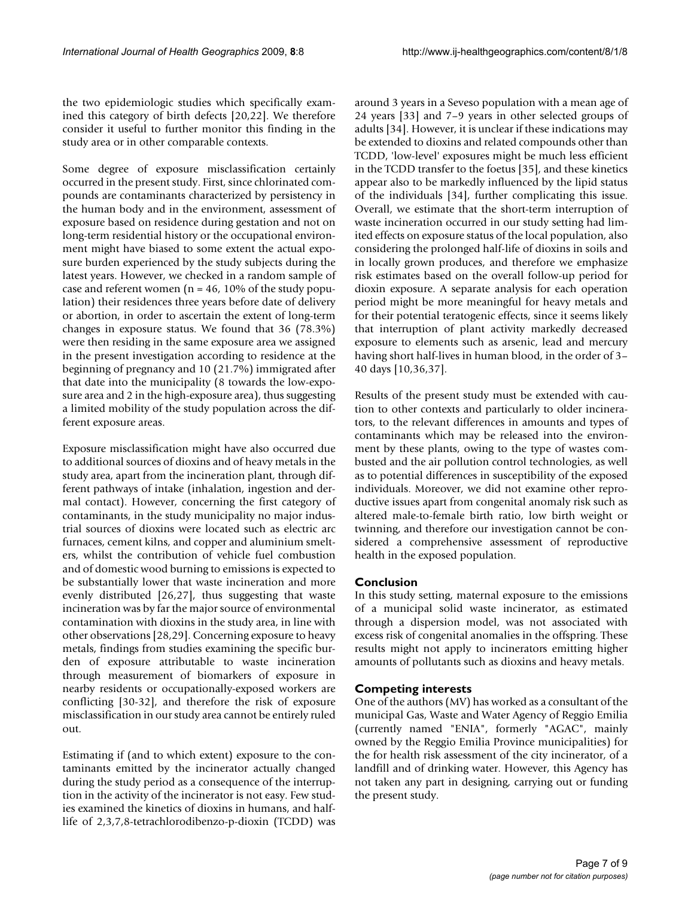the two epidemiologic studies which specifically examined this category of birth defects [20,22]. We therefore consider it useful to further monitor this finding in the study area or in other comparable contexts.

Some degree of exposure misclassification certainly occurred in the present study. First, since chlorinated compounds are contaminants characterized by persistency in the human body and in the environment, assessment of exposure based on residence during gestation and not on long-term residential history or the occupational environment might have biased to some extent the actual exposure burden experienced by the study subjects during the latest years. However, we checked in a random sample of case and referent women ( $n = 46$ , 10% of the study population) their residences three years before date of delivery or abortion, in order to ascertain the extent of long-term changes in exposure status. We found that 36 (78.3%) were then residing in the same exposure area we assigned in the present investigation according to residence at the beginning of pregnancy and 10 (21.7%) immigrated after that date into the municipality (8 towards the low-exposure area and 2 in the high-exposure area), thus suggesting a limited mobility of the study population across the different exposure areas.

Exposure misclassification might have also occurred due to additional sources of dioxins and of heavy metals in the study area, apart from the incineration plant, through different pathways of intake (inhalation, ingestion and dermal contact). However, concerning the first category of contaminants, in the study municipality no major industrial sources of dioxins were located such as electric arc furnaces, cement kilns, and copper and aluminium smelters, whilst the contribution of vehicle fuel combustion and of domestic wood burning to emissions is expected to be substantially lower that waste incineration and more evenly distributed [26,27], thus suggesting that waste incineration was by far the major source of environmental contamination with dioxins in the study area, in line with other observations [28,29]. Concerning exposure to heavy metals, findings from studies examining the specific burden of exposure attributable to waste incineration through measurement of biomarkers of exposure in nearby residents or occupationally-exposed workers are conflicting [30-32], and therefore the risk of exposure misclassification in our study area cannot be entirely ruled out.

Estimating if (and to which extent) exposure to the contaminants emitted by the incinerator actually changed during the study period as a consequence of the interruption in the activity of the incinerator is not easy. Few studies examined the kinetics of dioxins in humans, and halflife of 2,3,7,8-tetrachlorodibenzo-p-dioxin (TCDD) was around 3 years in a Seveso population with a mean age of 24 years [33] and 7–9 years in other selected groups of adults [34]. However, it is unclear if these indications may be extended to dioxins and related compounds other than TCDD, 'low-level' exposures might be much less efficient in the TCDD transfer to the foetus [35], and these kinetics appear also to be markedly influenced by the lipid status of the individuals [34], further complicating this issue. Overall, we estimate that the short-term interruption of waste incineration occurred in our study setting had limited effects on exposure status of the local population, also considering the prolonged half-life of dioxins in soils and in locally grown produces, and therefore we emphasize risk estimates based on the overall follow-up period for dioxin exposure. A separate analysis for each operation period might be more meaningful for heavy metals and for their potential teratogenic effects, since it seems likely that interruption of plant activity markedly decreased exposure to elements such as arsenic, lead and mercury having short half-lives in human blood, in the order of 3– 40 days [10,36,37].

Results of the present study must be extended with caution to other contexts and particularly to older incinerators, to the relevant differences in amounts and types of contaminants which may be released into the environment by these plants, owing to the type of wastes combusted and the air pollution control technologies, as well as to potential differences in susceptibility of the exposed individuals. Moreover, we did not examine other reproductive issues apart from congenital anomaly risk such as altered male-to-female birth ratio, low birth weight or twinning, and therefore our investigation cannot be considered a comprehensive assessment of reproductive health in the exposed population.

## **Conclusion**

In this study setting, maternal exposure to the emissions of a municipal solid waste incinerator, as estimated through a dispersion model, was not associated with excess risk of congenital anomalies in the offspring. These results might not apply to incinerators emitting higher amounts of pollutants such as dioxins and heavy metals.

## **Competing interests**

One of the authors (MV) has worked as a consultant of the municipal Gas, Waste and Water Agency of Reggio Emilia (currently named "ENIA", formerly "AGAC", mainly owned by the Reggio Emilia Province municipalities) for the for health risk assessment of the city incinerator, of a landfill and of drinking water. However, this Agency has not taken any part in designing, carrying out or funding the present study.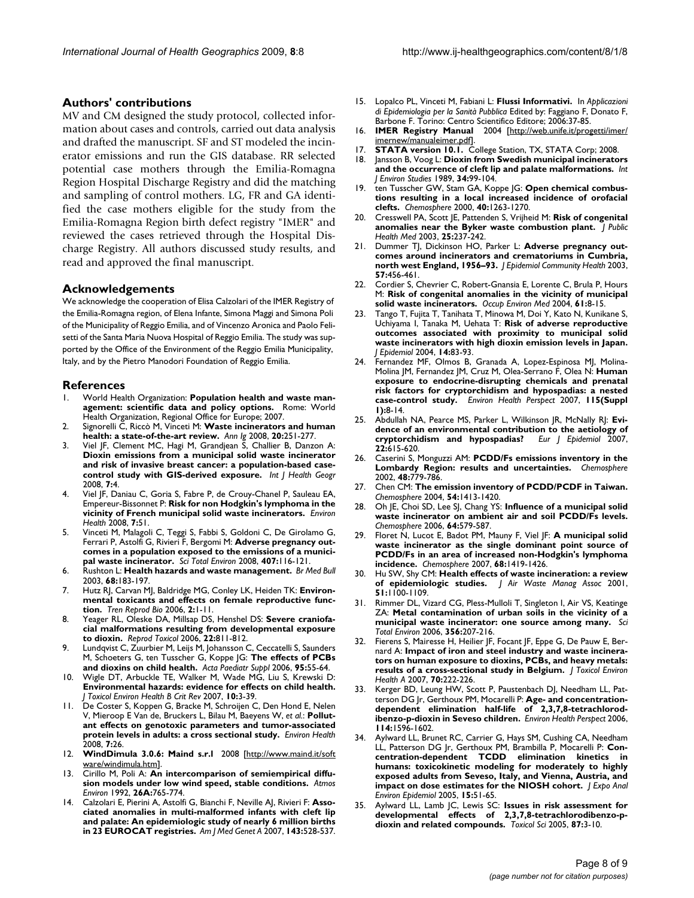#### **Authors' contributions**

MV and CM designed the study protocol, collected information about cases and controls, carried out data analysis and drafted the manuscript. SF and ST modeled the incinerator emissions and run the GIS database. RR selected potential case mothers through the Emilia-Romagna Region Hospital Discharge Registry and did the matching and sampling of control mothers. LG, FR and GA identified the case mothers eligible for the study from the Emilia-Romagna Region birth defect registry "IMER" and reviewed the cases retrieved through the Hospital Discharge Registry. All authors discussed study results, and read and approved the final manuscript.

#### **Acknowledgements**

We acknowledge the cooperation of Elisa Calzolari of the IMER Registry of the Emilia-Romagna region, of Elena Infante, Simona Maggi and Simona Poli of the Municipality of Reggio Emilia, and of Vincenzo Aronica and Paolo Felisetti of the Santa Maria Nuova Hospital of Reggio Emilia. The study was supported by the Office of the Environment of the Reggio Emilia Municipality, Italy, and by the Pietro Manodori Foundation of Reggio Emilia.

#### **References**

- 1. World Health Organization: **Population health and waste management: scientific data and policy options.** Rome: World Health Organization, Regional Office for Europe; 2007.
- 2. Signorelli C, Riccò M, Vinceti M: **[Waste incinerators and human](http://www.ncbi.nlm.nih.gov/entrez/query.fcgi?cmd=Retrieve&db=PubMed&dopt=Abstract&list_uids=18693403) [health: a state-of-the-art review.](http://www.ncbi.nlm.nih.gov/entrez/query.fcgi?cmd=Retrieve&db=PubMed&dopt=Abstract&list_uids=18693403)** *Ann Ig* 2008, **20:**251-277.
- 3. Viel JF, Clement MC, Hagi M, Grandjean S, Challier B, Danzon A: **[Dioxin emissions from a municipal solid waste incinerator](http://www.ncbi.nlm.nih.gov/entrez/query.fcgi?cmd=Retrieve&db=PubMed&dopt=Abstract&list_uids=18226215) and risk of invasive breast cancer: a population-based case[control study with GIS-derived exposure.](http://www.ncbi.nlm.nih.gov/entrez/query.fcgi?cmd=Retrieve&db=PubMed&dopt=Abstract&list_uids=18226215)** *Int J Health Geogr* 2008, **7:**4.
- 4. Viel JF, Daniau C, Goria S, Fabre P, de Crouy-Chanel P, Sauleau EA, Empereur-Bissonnet P: **[Risk for non Hodgkin's lymphoma in the](http://www.ncbi.nlm.nih.gov/entrez/query.fcgi?cmd=Retrieve&db=PubMed&dopt=Abstract&list_uids=18959776) [vicinity of French municipal solid waste incinerators.](http://www.ncbi.nlm.nih.gov/entrez/query.fcgi?cmd=Retrieve&db=PubMed&dopt=Abstract&list_uids=18959776)** *Environ Health* 2008, **7:**51.
- 5. Vinceti M, Malagoli C, Teggi S, Fabbi S, Goldoni C, De Girolamo G, Ferrari P, Astolfi G, Rivieri F, Bergomi M: **[Adverse pregnancy out](http://www.ncbi.nlm.nih.gov/entrez/query.fcgi?cmd=Retrieve&db=PubMed&dopt=Abstract&list_uids=18824255)[comes in a population exposed to the emissions of a munici](http://www.ncbi.nlm.nih.gov/entrez/query.fcgi?cmd=Retrieve&db=PubMed&dopt=Abstract&list_uids=18824255)[pal waste incinerator.](http://www.ncbi.nlm.nih.gov/entrez/query.fcgi?cmd=Retrieve&db=PubMed&dopt=Abstract&list_uids=18824255)** *Sci Total Environ* 2008, **407:**116-121.
- 6. Rushton L: **[Health hazards and waste management.](http://www.ncbi.nlm.nih.gov/entrez/query.fcgi?cmd=Retrieve&db=PubMed&dopt=Abstract&list_uids=14757717)** *Br Med Bull* 2003, **68:**183-197.
- 7. Hutz RJ, Carvan MJ, Baldridge MG, Conley LK, Heiden TK: **[Environ](http://www.ncbi.nlm.nih.gov/entrez/query.fcgi?cmd=Retrieve&db=PubMed&dopt=Abstract&list_uids=18516253)[mental toxicants and effects on female reproductive func](http://www.ncbi.nlm.nih.gov/entrez/query.fcgi?cmd=Retrieve&db=PubMed&dopt=Abstract&list_uids=18516253)[tion.](http://www.ncbi.nlm.nih.gov/entrez/query.fcgi?cmd=Retrieve&db=PubMed&dopt=Abstract&list_uids=18516253)** *Tren Reprod Bio* 2006, **2:**1-11.
- 8. Yeager RL, Oleske DA, Millsap DS, Henshel DS: **[Severe craniofa](http://www.ncbi.nlm.nih.gov/entrez/query.fcgi?cmd=Retrieve&db=PubMed&dopt=Abstract&list_uids=16965893)[cial malformations resulting from developmental exposure](http://www.ncbi.nlm.nih.gov/entrez/query.fcgi?cmd=Retrieve&db=PubMed&dopt=Abstract&list_uids=16965893) [to dioxin.](http://www.ncbi.nlm.nih.gov/entrez/query.fcgi?cmd=Retrieve&db=PubMed&dopt=Abstract&list_uids=16965893)** *Reprod Toxicol* 2006, **22:**811-812.
- 9. Lundqvist C, Zuurbier M, Leijs M, Johansson C, Ceccatelli S, Saunders M, Schoeters G, ten Tusscher G, Koppe JG: **[The effects of PCBs](http://www.ncbi.nlm.nih.gov/entrez/query.fcgi?cmd=Retrieve&db=PubMed&dopt=Abstract&list_uids=17000571) [and dioxins on child health.](http://www.ncbi.nlm.nih.gov/entrez/query.fcgi?cmd=Retrieve&db=PubMed&dopt=Abstract&list_uids=17000571)** *Acta Paediatr Suppl* 2006, **95:**55-64.
- 10. Wigle DT, Arbuckle TE, Walker M, Wade MG, Liu S, Krewski D: **[Environmental hazards: evidence for effects on child health.](http://www.ncbi.nlm.nih.gov/entrez/query.fcgi?cmd=Retrieve&db=PubMed&dopt=Abstract&list_uids=18074303)** *J Toxicol Environ Health B Crit Rev* 2007, **10:**3-39.
- 11. De Coster S, Koppen G, Bracke M, Schroijen C, Den Hond E, Nelen V, Mieroop E Van de, Bruckers L, Bilau M, Baeyens W, *et al.*: **[Pollut](http://www.ncbi.nlm.nih.gov/entrez/query.fcgi?cmd=Retrieve&db=PubMed&dopt=Abstract&list_uids=18522717)[ant effects on genotoxic parameters and tumor-associated](http://www.ncbi.nlm.nih.gov/entrez/query.fcgi?cmd=Retrieve&db=PubMed&dopt=Abstract&list_uids=18522717) [protein levels in adults: a cross sectional study.](http://www.ncbi.nlm.nih.gov/entrez/query.fcgi?cmd=Retrieve&db=PubMed&dopt=Abstract&list_uids=18522717)** *Environ Health* 2008, **7:**26.
- 12. **WindDimula 3.0.6: Maind s.r.l** 2008 [[http://www.maind.it/soft](http://www.maind.it/software/windimula.htm) [ware/windimula.htm\]](http://www.maind.it/software/windimula.htm).
- 13. Cirillo M, Poli A: **An intercomparison of semiempirical diffusion models under low wind speed, stable conditions.** *Atmos Environ* 1992, **26A:**765-774.
- 14. Calzolari E, Pierini A, Astolfi G, Bianchi F, Neville AJ, Rivieri F: **[Asso](http://www.ncbi.nlm.nih.gov/entrez/query.fcgi?cmd=Retrieve&db=PubMed&dopt=Abstract&list_uids=17286264)[ciated anomalies in multi-malformed infants with cleft lip](http://www.ncbi.nlm.nih.gov/entrez/query.fcgi?cmd=Retrieve&db=PubMed&dopt=Abstract&list_uids=17286264) and palate: An epidemiologic study of nearly 6 million births [in 23 EUROCAT registries.](http://www.ncbi.nlm.nih.gov/entrez/query.fcgi?cmd=Retrieve&db=PubMed&dopt=Abstract&list_uids=17286264)** *Am J Med Genet A* 2007, **143:**528-537.
- 15. Lopalco PL, Vinceti M, Fabiani L: **Flussi Informativi.** In *Applicazioni di Epidemiologia per la Sanità Pubblica* Edited by: Faggiano F, Donato F, Barbone F. Torino: Centro Scientifico Editore; 2006:37-85.
- 16. **IMER Registry Manual** 2004 [[http://web.unife.it/progetti/imer/](http://web.unife.it/progetti/imer/imernew/manualeimer.pdf) [imernew/manualeimer.pdf](http://web.unife.it/progetti/imer/imernew/manualeimer.pdf)].
- 17. **STATA version 10.1.** College Station, TX, STATA Corp; 2008.
- 18. Jansson B, Voog L: **Dioxin from Swedish municipal incinerators and the occurrence of cleft lip and palate malformations.** *Int J Environ Studies* 1989, **34:**99-104.
- 19. ten Tusscher GW, Stam GA, Koppe JG: **[Open chemical combus](http://www.ncbi.nlm.nih.gov/entrez/query.fcgi?cmd=Retrieve&db=PubMed&dopt=Abstract&list_uids=10739071)[tions resulting in a local increased incidence of orofacial](http://www.ncbi.nlm.nih.gov/entrez/query.fcgi?cmd=Retrieve&db=PubMed&dopt=Abstract&list_uids=10739071) [clefts.](http://www.ncbi.nlm.nih.gov/entrez/query.fcgi?cmd=Retrieve&db=PubMed&dopt=Abstract&list_uids=10739071)** *Chemosphere* 2000, **40:**1263-1270.
- 20. Cresswell PA, Scott JE, Pattenden S, Vrijheid M: **[Risk of congenital](http://www.ncbi.nlm.nih.gov/entrez/query.fcgi?cmd=Retrieve&db=PubMed&dopt=Abstract&list_uids=14575200) [anomalies near the Byker waste combustion plant.](http://www.ncbi.nlm.nih.gov/entrez/query.fcgi?cmd=Retrieve&db=PubMed&dopt=Abstract&list_uids=14575200)** *J Public Health Med* 2003, **25:**237-242.
- 21. Dummer TJ, Dickinson HO, Parker L: **[Adverse pregnancy out](http://www.ncbi.nlm.nih.gov/entrez/query.fcgi?cmd=Retrieve&db=PubMed&dopt=Abstract&list_uids=12775795)[comes around incinerators and crematoriums in Cumbria,](http://www.ncbi.nlm.nih.gov/entrez/query.fcgi?cmd=Retrieve&db=PubMed&dopt=Abstract&list_uids=12775795) [north west England, 1956–93.](http://www.ncbi.nlm.nih.gov/entrez/query.fcgi?cmd=Retrieve&db=PubMed&dopt=Abstract&list_uids=12775795)** *J Epidemiol Community Health* 2003, **57:**456-461.
- 22. Cordier S, Chevrier C, Robert-Gnansia E, Lorente C, Brula P, Hours M: **[Risk of congenital anomalies in the vicinity of municipal](http://www.ncbi.nlm.nih.gov/entrez/query.fcgi?cmd=Retrieve&db=PubMed&dopt=Abstract&list_uids=14691267) [solid waste incinerators.](http://www.ncbi.nlm.nih.gov/entrez/query.fcgi?cmd=Retrieve&db=PubMed&dopt=Abstract&list_uids=14691267)** *Occup Environ Med* 2004, **61:**8-15.
- 23. Tango T, Fujita T, Tanihata T, Minowa M, Doi Y, Kato N, Kunikane S, Uchiyama I, Tanaka M, Uehata T: **[Risk of adverse reproductive](http://www.ncbi.nlm.nih.gov/entrez/query.fcgi?cmd=Retrieve&db=PubMed&dopt=Abstract&list_uids=15242064) outcomes associated with proximity to municipal solid [waste incinerators with high dioxin emission levels in Japan.](http://www.ncbi.nlm.nih.gov/entrez/query.fcgi?cmd=Retrieve&db=PubMed&dopt=Abstract&list_uids=15242064)** *J Epidemiol* 2004, **14:**83-93.
- 24. Fernandez MF, Olmos B, Granada A, Lopez-Espinosa MJ, Molina-Molina JM, Fernandez JM, Cruz M, Olea-Serrano F, Olea N: **[Human](http://www.ncbi.nlm.nih.gov/entrez/query.fcgi?cmd=Retrieve&db=PubMed&dopt=Abstract&list_uids=18174944) [exposure to endocrine-disrupting chemicals and prenatal](http://www.ncbi.nlm.nih.gov/entrez/query.fcgi?cmd=Retrieve&db=PubMed&dopt=Abstract&list_uids=18174944) risk factors for cryptorchidism and hypospadias: a nested [case-control study.](http://www.ncbi.nlm.nih.gov/entrez/query.fcgi?cmd=Retrieve&db=PubMed&dopt=Abstract&list_uids=18174944)** *Environ Health Perspect* 2007, **115(Suppl 1):**8-14.
- 25. Abdullah NA, Pearce MS, Parker L, Wilkinson JR, McNally RJ: **[Evi](http://www.ncbi.nlm.nih.gov/entrez/query.fcgi?cmd=Retrieve&db=PubMed&dopt=Abstract&list_uids=17636413)[dence of an environmental contribution to the aetiology of](http://www.ncbi.nlm.nih.gov/entrez/query.fcgi?cmd=Retrieve&db=PubMed&dopt=Abstract&list_uids=17636413) [cryptorchidism and hypospadias?](http://www.ncbi.nlm.nih.gov/entrez/query.fcgi?cmd=Retrieve&db=PubMed&dopt=Abstract&list_uids=17636413)** *Eur J Epidemiol* 2007, **22:**615-620.
- 26. Caserini S, Monguzzi AM: **[PCDD/Fs emissions inventory in the](http://www.ncbi.nlm.nih.gov/entrez/query.fcgi?cmd=Retrieve&db=PubMed&dopt=Abstract&list_uids=12222771) [Lombardy Region: results and uncertainties.](http://www.ncbi.nlm.nih.gov/entrez/query.fcgi?cmd=Retrieve&db=PubMed&dopt=Abstract&list_uids=12222771)** *Chemosphere* 2002, **48:**779-786.
- 27. Chen CM: **[The emission inventory of PCDD/PCDF in Taiwan.](http://www.ncbi.nlm.nih.gov/entrez/query.fcgi?cmd=Retrieve&db=PubMed&dopt=Abstract&list_uids=14659943)** *Chemosphere* 2004, **54:**1413-1420.
- 28. Oh JE, Choi SD, Lee SJ, Chang YS: **[Influence of a municipal solid](http://www.ncbi.nlm.nih.gov/entrez/query.fcgi?cmd=Retrieve&db=PubMed&dopt=Abstract&list_uids=16410018) [waste incinerator on ambient air and soil PCDD/Fs levels.](http://www.ncbi.nlm.nih.gov/entrez/query.fcgi?cmd=Retrieve&db=PubMed&dopt=Abstract&list_uids=16410018)** *Chemosphere* 2006, **64:**579-587.
- 29. Floret N, Lucot E, Badot PM, Mauny F, Viel JF: **[A municipal solid](http://www.ncbi.nlm.nih.gov/entrez/query.fcgi?cmd=Retrieve&db=PubMed&dopt=Abstract&list_uids=17524454) [waste incinerator as the single dominant point source of](http://www.ncbi.nlm.nih.gov/entrez/query.fcgi?cmd=Retrieve&db=PubMed&dopt=Abstract&list_uids=17524454) PCDD/Fs in an area of increased non-Hodgkin's lymphoma [incidence.](http://www.ncbi.nlm.nih.gov/entrez/query.fcgi?cmd=Retrieve&db=PubMed&dopt=Abstract&list_uids=17524454)** *Chemosphere* 2007, **68:**1419-1426.
- 30. Hu SW, Shy CM: **[Health effects of waste incineration: a review](http://www.ncbi.nlm.nih.gov/entrez/query.fcgi?cmd=Retrieve&db=PubMed&dopt=Abstract&list_uids=15658227) [of epidemiologic studies.](http://www.ncbi.nlm.nih.gov/entrez/query.fcgi?cmd=Retrieve&db=PubMed&dopt=Abstract&list_uids=15658227)** *J Air Waste Manag Assoc* 2001, **51:**1100-1109.
- 31. Rimmer DL, Vizard CG, Pless-Mulloli T, Singleton I, Air VS, Keatinge ZA: **[Metal contamination of urban soils in the vicinity of a](http://www.ncbi.nlm.nih.gov/entrez/query.fcgi?cmd=Retrieve&db=PubMed&dopt=Abstract&list_uids=15935448) [municipal waste incinerator: one source among many.](http://www.ncbi.nlm.nih.gov/entrez/query.fcgi?cmd=Retrieve&db=PubMed&dopt=Abstract&list_uids=15935448)** *Sci Total Environ* 2006, **356:**207-216.
- 32. Fierens S, Mairesse H, Heilier JF, Focant JF, Eppe G, De Pauw E, Bernard A: **[Impact of iron and steel industry and waste incinera](http://www.ncbi.nlm.nih.gov/entrez/query.fcgi?cmd=Retrieve&db=PubMed&dopt=Abstract&list_uids=17365584)[tors on human exposure to dioxins, PCBs, and heavy metals:](http://www.ncbi.nlm.nih.gov/entrez/query.fcgi?cmd=Retrieve&db=PubMed&dopt=Abstract&list_uids=17365584) [results of a cross-sectional study in Belgium.](http://www.ncbi.nlm.nih.gov/entrez/query.fcgi?cmd=Retrieve&db=PubMed&dopt=Abstract&list_uids=17365584)** *J Toxicol Environ Health A* 2007, **70:**222-226.
- 33. Kerger BD, Leung HW, Scott P, Paustenbach DJ, Needham LL, Patterson DG Jr, Gerthoux PM, Mocarelli P: **[Age- and concentration](http://www.ncbi.nlm.nih.gov/entrez/query.fcgi?cmd=Retrieve&db=PubMed&dopt=Abstract&list_uids=17035149)[dependent elimination half-life of 2,3,7,8-tetrachlorod](http://www.ncbi.nlm.nih.gov/entrez/query.fcgi?cmd=Retrieve&db=PubMed&dopt=Abstract&list_uids=17035149)[ibenzo-p-dioxin in Seveso children.](http://www.ncbi.nlm.nih.gov/entrez/query.fcgi?cmd=Retrieve&db=PubMed&dopt=Abstract&list_uids=17035149)** *Environ Health Perspect* 2006, **114:**1596-1602.
- 34. Aylward LL, Brunet RC, Carrier G, Hays SM, Cushing CA, Needham LL, Patterson DG Jr, Gerthoux PM, Brambilla P, Mocarelli P: **[Con](http://www.ncbi.nlm.nih.gov/entrez/query.fcgi?cmd=Retrieve&db=PubMed&dopt=Abstract&list_uids=15083163)centration-dependent TCDD elimination kinetics in [humans: toxicokinetic modeling for moderately to highly](http://www.ncbi.nlm.nih.gov/entrez/query.fcgi?cmd=Retrieve&db=PubMed&dopt=Abstract&list_uids=15083163) exposed adults from Seveso, Italy, and Vienna, Austria, and [impact on dose estimates for the NIOSH cohort.](http://www.ncbi.nlm.nih.gov/entrez/query.fcgi?cmd=Retrieve&db=PubMed&dopt=Abstract&list_uids=15083163)** *J Expo Anal Environ Epidemiol* 2005, **15:**51-65.
- 35. Aylward LL, Lamb JC, Lewis SC: **[Issues in risk assessment for](http://www.ncbi.nlm.nih.gov/entrez/query.fcgi?cmd=Retrieve&db=PubMed&dopt=Abstract&list_uids=15976191) [developmental effects of 2,3,7,8-tetrachlorodibenzo-p](http://www.ncbi.nlm.nih.gov/entrez/query.fcgi?cmd=Retrieve&db=PubMed&dopt=Abstract&list_uids=15976191)[dioxin and related compounds.](http://www.ncbi.nlm.nih.gov/entrez/query.fcgi?cmd=Retrieve&db=PubMed&dopt=Abstract&list_uids=15976191)** *Toxicol Sci* 2005, **87:**3-10.